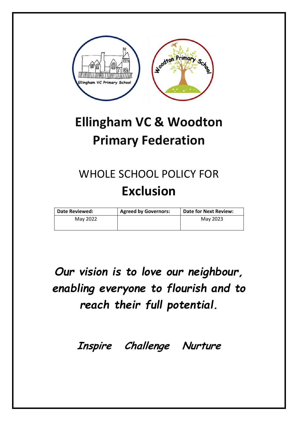

# **Ellingham VC & Woodton Primary Federation**

# WHOLE SCHOOL POLICY FOR **Exclusion**

| Date Reviewed: | <b>Agreed by Governors:</b> | <b>Date for Next Review:</b> |
|----------------|-----------------------------|------------------------------|
| May 2022       |                             | May 2023                     |
|                |                             |                              |

*Our vision is to love our neighbour, enabling everyone to flourish and to reach their full potential.* 

**Inspire Challenge Nurture**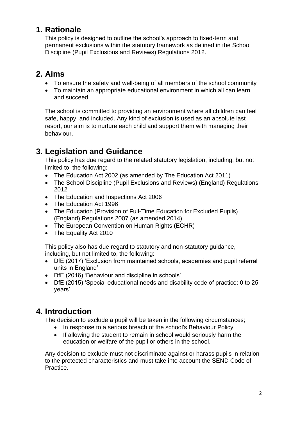## **1. Rationale**

This policy is designed to outline the school's approach to fixed-term and permanent exclusions within the statutory framework as defined in the School Discipline (Pupil Exclusions and Reviews) Regulations 2012.

## **2. Aims**

- To ensure the safety and well-being of all members of the school community
- To maintain an appropriate educational environment in which all can learn and succeed.

The school is committed to providing an environment where all children can feel safe, happy, and included. Any kind of exclusion is used as an absolute last resort, our aim is to nurture each child and support them with managing their behaviour.

## **3. Legislation and Guidance**

This policy has due regard to the related statutory legislation, including, but not limited to, the following:

- The Education Act 2002 (as amended by The Education Act 2011)
- The School Discipline (Pupil Exclusions and Reviews) (England) Regulations 2012
- The Education and Inspections Act 2006
- The Education Act 1996
- The Education (Provision of Full-Time Education for Excluded Pupils) (England) Regulations 2007 (as amended 2014)
- The European Convention on Human Rights (ECHR)
- The Equality Act 2010

This policy also has due regard to statutory and non-statutory guidance, including, but not limited to, the following:

- DfE (2017) 'Exclusion from maintained schools, academies and pupil referral units in England'
- DfE (2016) 'Behaviour and discipline in schools'
- DfE (2015) 'Special educational needs and disability code of practice: 0 to 25 years'

## **4. Introduction**

The decision to exclude a pupil will be taken in the following circumstances;

- In response to a serious breach of the school's Behaviour Policy
- If allowing the student to remain in school would seriously harm the education or welfare of the pupil or others in the school.

Any decision to exclude must not discriminate against or harass pupils in relation to the protected characteristics and must take into account the SEND Code of Practice.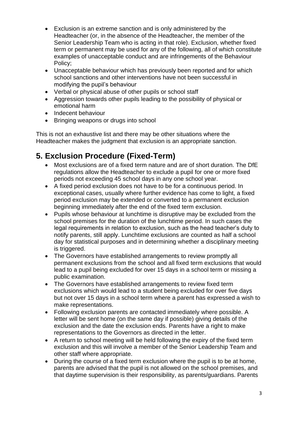- Exclusion is an extreme sanction and is only administered by the Headteacher (or, in the absence of the Headteacher, the member of the Senior Leadership Team who is acting in that role). Exclusion, whether fixed term or permanent may be used for any of the following, all of which constitute examples of unacceptable conduct and are infringements of the Behaviour Policy;
- Unacceptable behaviour which has previously been reported and for which school sanctions and other interventions have not been successful in modifying the pupil's behaviour
- Verbal or physical abuse of other pupils or school staff
- Aggression towards other pupils leading to the possibility of physical or emotional harm
- Indecent behaviour
- Bringing weapons or drugs into school

This is not an exhaustive list and there may be other situations where the Headteacher makes the judgment that exclusion is an appropriate sanction.

## **5. Exclusion Procedure (Fixed-Term)**

- Most exclusions are of a fixed term nature and are of short duration. The DfE regulations allow the Headteacher to exclude a pupil for one or more fixed periods not exceeding 45 school days in any one school year.
- A fixed period exclusion does not have to be for a continuous period. In exceptional cases, usually where further evidence has come to light, a fixed period exclusion may be extended or converted to a permanent exclusion beginning immediately after the end of the fixed term exclusion.
- Pupils whose behaviour at lunchtime is disruptive may be excluded from the school premises for the duration of the lunchtime period. In such cases the legal requirements in relation to exclusion, such as the head teacher's duty to notify parents, still apply. Lunchtime exclusions are counted as half a school day for statistical purposes and in determining whether a disciplinary meeting is triggered.
- The Governors have established arrangements to review promptly all permanent exclusions from the school and all fixed term exclusions that would lead to a pupil being excluded for over 15 days in a school term or missing a public examination.
- The Governors have established arrangements to review fixed term exclusions which would lead to a student being excluded for over five days but not over 15 days in a school term where a parent has expressed a wish to make representations.
- Following exclusion parents are contacted immediately where possible. A letter will be sent home (on the same day if possible) giving details of the exclusion and the date the exclusion ends. Parents have a right to make representations to the Governors as directed in the letter.
- A return to school meeting will be held following the expiry of the fixed term exclusion and this will involve a member of the Senior Leadership Team and other staff where appropriate.
- During the course of a fixed term exclusion where the pupil is to be at home, parents are advised that the pupil is not allowed on the school premises, and that daytime supervision is their responsibility, as parents/guardians. Parents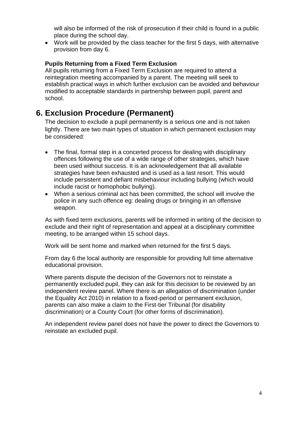will also be informed of the risk of prosecution if their child is found in a public place during the school day.

• Work will be provided by the class teacher for the first 5 days, with alternative provision from day 6.

#### **Pupils Returning from a Fixed Term Exclusion**

All pupils returning from a Fixed Term Exclusion are required to attend a reintegration meeting accompanied by a parent. The meeting will seek to establish practical ways in which further exclusion can be avoided and behaviour modified to acceptable standards in partnership between pupil, parent and school.

## **6. Exclusion Procedure (Permanent)**

The decision to exclude a pupil permanently is a serious one and is not taken lightly. There are two main types of situation in which permanent exclusion may be considered:

- The final, formal step in a concerted process for dealing with disciplinary offences following the use of a wide range of other strategies, which have been used without success. It is an acknowledgement that all available strategies have been exhausted and is used as a last resort. This would include persistent and defiant misbehaviour including bullying (which would include racist or homophobic bullying).
- When a serious criminal act has been committed, the school will involve the police in any such offence eg: dealing drugs or bringing in an offensive weapon.

As with fixed term exclusions, parents will be informed in writing of the decision to exclude and their right of representation and appeal at a disciplinary committee meeting, to be arranged within 15 school days.

Work will be sent home and marked when returned for the first 5 days.

From day 6 the local authority are responsible for providing full time alternative educational provision.

Where parents dispute the decision of the Governors not to reinstate a permanently excluded pupil, they can ask for this decision to be reviewed by an independent review panel. Where there is an allegation of discrimination (under the Equality Act 2010) in relation to a fixed-period or permanent exclusion, parents can also make a claim to the First-tier Tribunal (for disability discrimination) or a County Court (for other forms of discrimination).

An independent review panel does not have the power to direct the Governors to reinstate an excluded pupil.